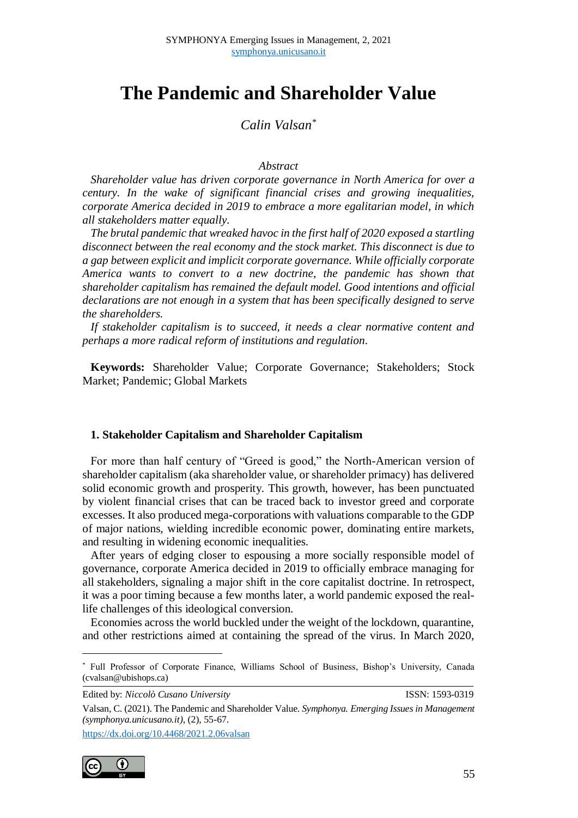# **The Pandemic and Shareholder Value**

*Calin Valsan\**

#### *Abstract*

*Shareholder value has driven corporate governance in North America for over a century. In the wake of significant financial crises and growing inequalities, corporate America decided in 2019 to embrace a more egalitarian model, in which all stakeholders matter equally.* 

*The brutal pandemic that wreaked havoc in the first half of 2020 exposed a startling disconnect between the real economy and the stock market. This disconnect is due to a gap between explicit and implicit corporate governance. While officially corporate America wants to convert to a new doctrine, the pandemic has shown that shareholder capitalism has remained the default model. Good intentions and official declarations are not enough in a system that has been specifically designed to serve the shareholders.*

*If stakeholder capitalism is to succeed, it needs a clear normative content and perhaps a more radical reform of institutions and regulation.*

**Keywords:** Shareholder Value; Corporate Governance; Stakeholders; Stock Market; Pandemic; Global Markets

#### **1. Stakeholder Capitalism and Shareholder Capitalism**

For more than half century of "Greed is good," the North-American version of shareholder capitalism (aka shareholder value, or shareholder primacy) has delivered solid economic growth and prosperity. This growth, however, has been punctuated by violent financial crises that can be traced back to investor greed and corporate excesses. It also produced mega-corporations with valuations comparable to the GDP of major nations, wielding incredible economic power, dominating entire markets, and resulting in widening economic inequalities.

After years of edging closer to espousing a more socially responsible model of governance, corporate America decided in 2019 to officially embrace managing for all stakeholders, signaling a major shift in the core capitalist doctrine. In retrospect, it was a poor timing because a few months later, a world pandemic exposed the reallife challenges of this ideological conversion.

Economies across the world buckled under the weight of the lockdown, quarantine, and other restrictions aimed at containing the spread of the virus. In March 2020,

Edited by: *Niccolò Cusano University* ISSN: 1593-0319

<https://dx.doi.org/10.4468/2021.2.06valsan>



 $\overline{a}$ 

<sup>\*</sup> Full Professor of Corporate Finance, Williams School of Business, Bishop's University, Canada (cvalsan@ubishops.ca)

Valsan, C. (2021). The Pandemic and Shareholder Value. *Symphonya. Emerging Issues in Management (symphonya.unicusano.it)*, (2), 55-67.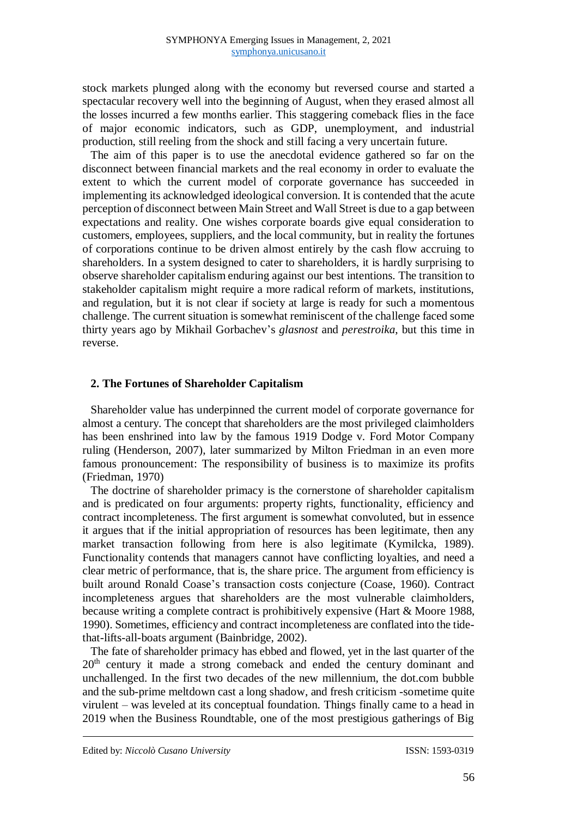stock markets plunged along with the economy but reversed course and started a spectacular recovery well into the beginning of August, when they erased almost all the losses incurred a few months earlier. This staggering comeback flies in the face of major economic indicators, such as GDP, unemployment, and industrial production, still reeling from the shock and still facing a very uncertain future.

The aim of this paper is to use the anecdotal evidence gathered so far on the disconnect between financial markets and the real economy in order to evaluate the extent to which the current model of corporate governance has succeeded in implementing its acknowledged ideological conversion. It is contended that the acute perception of disconnect between Main Street and Wall Street is due to a gap between expectations and reality. One wishes corporate boards give equal consideration to customers, employees, suppliers, and the local community, but in reality the fortunes of corporations continue to be driven almost entirely by the cash flow accruing to shareholders. In a system designed to cater to shareholders, it is hardly surprising to observe shareholder capitalism enduring against our best intentions. The transition to stakeholder capitalism might require a more radical reform of markets, institutions, and regulation, but it is not clear if society at large is ready for such a momentous challenge. The current situation is somewhat reminiscent of the challenge faced some thirty years ago by Mikhail Gorbachev's *glasnost* and *perestroika*, but this time in reverse.

## **2. The Fortunes of Shareholder Capitalism**

Shareholder value has underpinned the current model of corporate governance for almost a century. The concept that shareholders are the most privileged claimholders has been enshrined into law by the famous 1919 Dodge v. Ford Motor Company ruling (Henderson, 2007), later summarized by Milton Friedman in an even more famous pronouncement: The responsibility of business is to maximize its profits (Friedman, 1970)

The doctrine of shareholder primacy is the cornerstone of shareholder capitalism and is predicated on four arguments: property rights, functionality, efficiency and contract incompleteness. The first argument is somewhat convoluted, but in essence it argues that if the initial appropriation of resources has been legitimate, then any market transaction following from here is also legitimate (Kymilcka, 1989). Functionality contends that managers cannot have conflicting loyalties, and need a clear metric of performance, that is, the share price. The argument from efficiency is built around Ronald Coase's transaction costs conjecture (Coase, 1960). Contract incompleteness argues that shareholders are the most vulnerable claimholders, because writing a complete contract is prohibitively expensive (Hart & Moore 1988, 1990). Sometimes, efficiency and contract incompleteness are conflated into the tidethat-lifts-all-boats argument (Bainbridge, 2002).

The fate of shareholder primacy has ebbed and flowed, yet in the last quarter of the 20<sup>th</sup> century it made a strong comeback and ended the century dominant and unchallenged. In the first two decades of the new millennium, the dot.com bubble and the sub-prime meltdown cast a long shadow, and fresh criticism -sometime quite virulent – was leveled at its conceptual foundation. Things finally came to a head in 2019 when the Business Roundtable, one of the most prestigious gatherings of Big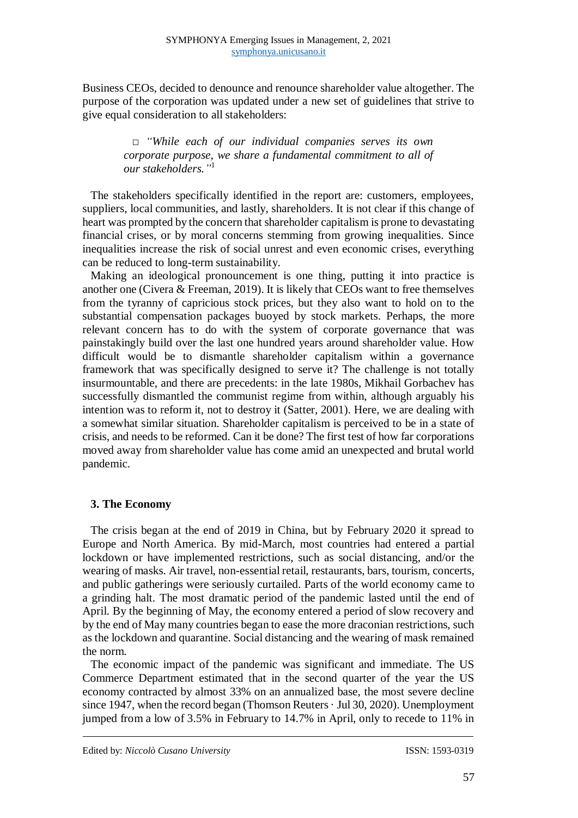Business CEOs, decided to denounce and renounce shareholder value altogether. The purpose of the corporation was updated under a new set of guidelines that strive to give equal consideration to all stakeholders:

> *□ "While each of our individual companies serves its own corporate purpose, we share a fundamental commitment to all of our stakeholders."* 1

The stakeholders specifically identified in the report are: customers, employees, suppliers, local communities, and lastly, shareholders. It is not clear if this change of heart was prompted by the concern that shareholder capitalism is prone to devastating financial crises, or by moral concerns stemming from growing inequalities. Since inequalities increase the risk of social unrest and even economic crises, everything can be reduced to long-term sustainability.

Making an ideological pronouncement is one thing, putting it into practice is another one (Civera & Freeman, 2019). It is likely that CEOs want to free themselves from the tyranny of capricious stock prices, but they also want to hold on to the substantial compensation packages buoyed by stock markets. Perhaps, the more relevant concern has to do with the system of corporate governance that was painstakingly build over the last one hundred years around shareholder value. How difficult would be to dismantle shareholder capitalism within a governance framework that was specifically designed to serve it? The challenge is not totally insurmountable, and there are precedents: in the late 1980s, Mikhail Gorbachev has successfully dismantled the communist regime from within, although arguably his intention was to reform it, not to destroy it (Satter, 2001). Here, we are dealing with a somewhat similar situation. Shareholder capitalism is perceived to be in a state of crisis, and needs to be reformed. Can it be done? The first test of how far corporations moved away from shareholder value has come amid an unexpected and brutal world pandemic.

# **3. The Economy**

The crisis began at the end of 2019 in China, but by February 2020 it spread to Europe and North America. By mid-March, most countries had entered a partial lockdown or have implemented restrictions, such as social distancing, and/or the wearing of masks. Air travel, non-essential retail, restaurants, bars, tourism, concerts, and public gatherings were seriously curtailed. Parts of the world economy came to a grinding halt. The most dramatic period of the pandemic lasted until the end of April. By the beginning of May, the economy entered a period of slow recovery and by the end of May many countries began to ease the more draconian restrictions, such as the lockdown and quarantine. Social distancing and the wearing of mask remained the norm.

The economic impact of the pandemic was significant and immediate. The US Commerce Department estimated that in the second quarter of the year the US economy contracted by almost 33% on an annualized base, the most severe decline since 1947, when the record began (Thomson Reuters  $\cdot$  Jul 30, 2020). Unemployment jumped from a low of 3.5% in February to 14.7% in April, only to recede to 11% in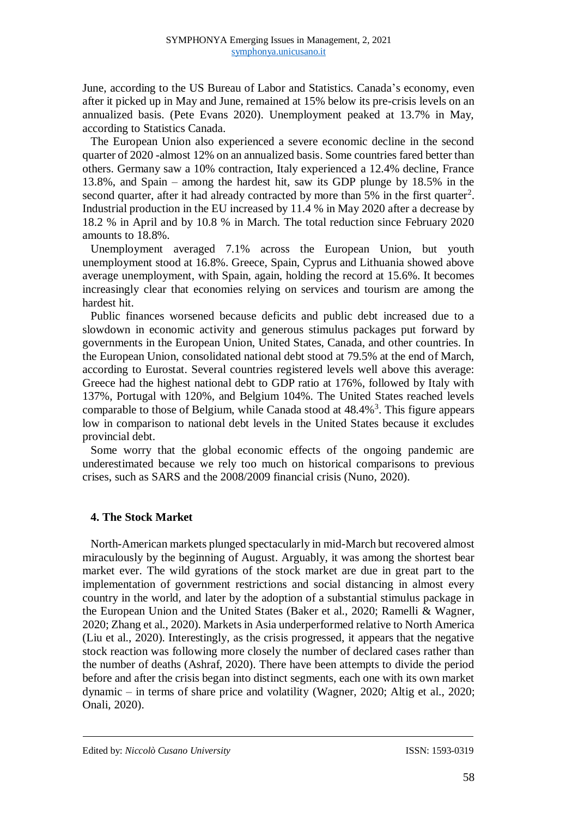June, according to the US Bureau of Labor and Statistics. Canada's economy, even after it picked up in May and June, remained at 15% below its pre-crisis levels on an annualized basis. (Pete Evans 2020). Unemployment peaked at 13.7% in May, according to Statistics Canada.

The European Union also experienced a severe economic decline in the second quarter of 2020 -almost 12% on an annualized basis. Some countries fared better than others. Germany saw a 10% contraction, Italy experienced a 12.4% decline, France 13.8%, and Spain – among the hardest hit, saw its GDP plunge by 18.5% in the second quarter, after it had already contracted by more than  $5\%$  in the first quarter<sup>2</sup>. Industrial production in the EU increased by 11.4 % in May 2020 after a decrease by 18.2 % in April and by 10.8 % in March. The total reduction since February 2020 amounts to 18.8%.

Unemployment averaged 7.1% across the European Union, but youth unemployment stood at 16.8%. Greece, Spain, Cyprus and Lithuania showed above average unemployment, with Spain, again, holding the record at 15.6%. It becomes increasingly clear that economies relying on services and tourism are among the hardest hit.

Public finances worsened because deficits and public debt increased due to a slowdown in economic activity and generous stimulus packages put forward by governments in the European Union, United States, Canada, and other countries. In the European Union, consolidated national debt stood at 79.5% at the end of March, according to Eurostat. Several countries registered levels well above this average: Greece had the highest national debt to GDP ratio at 176%, followed by Italy with 137%, Portugal with 120%, and Belgium 104%. The United States reached levels comparable to those of Belgium, while Canada stood at  $48.4\%$ <sup>3</sup>. This figure appears low in comparison to national debt levels in the United States because it excludes provincial debt.

Some worry that the global economic effects of the ongoing pandemic are underestimated because we rely too much on historical comparisons to previous crises, such as SARS and the 2008/2009 financial crisis (Nuno, 2020).

## **4. The Stock Market**

North-American markets plunged spectacularly in mid-March but recovered almost miraculously by the beginning of August. Arguably, it was among the shortest bear market ever. The wild gyrations of the stock market are due in great part to the implementation of government restrictions and social distancing in almost every country in the world, and later by the adoption of a substantial stimulus package in the European Union and the United States (Baker et al., 2020; Ramelli & Wagner, 2020; Zhang et al., 2020). Markets in Asia underperformed relative to North America (Liu et al., 2020). Interestingly, as the crisis progressed, it appears that the negative stock reaction was following more closely the number of declared cases rather than the number of deaths (Ashraf, 2020). There have been attempts to divide the period before and after the crisis began into distinct segments, each one with its own market dynamic – in terms of share price and volatility (Wagner, 2020; Altig et al., 2020; Onali, 2020).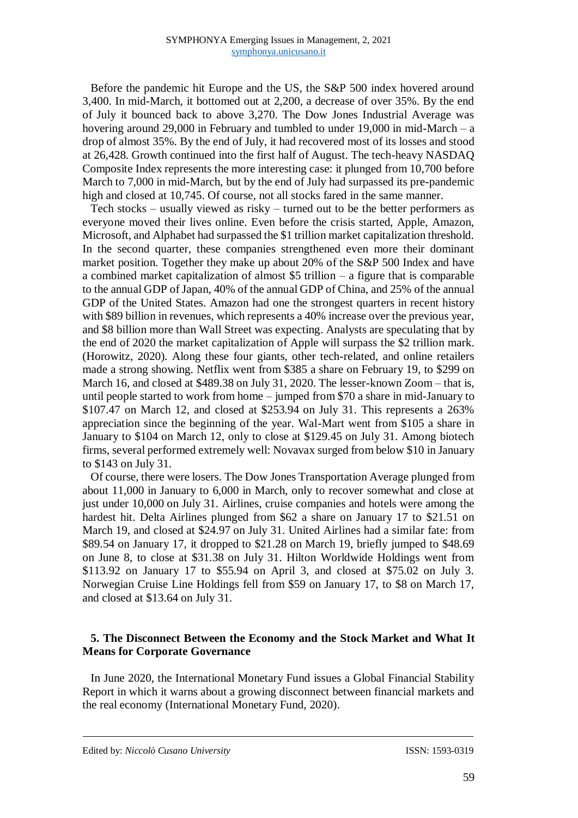Before the pandemic hit Europe and the US, the S&P 500 index hovered around 3,400. In mid-March, it bottomed out at 2,200, a decrease of over 35%. By the end of July it bounced back to above 3,270. The Dow Jones Industrial Average was hovering around 29,000 in February and tumbled to under 19,000 in mid-March – a drop of almost 35%. By the end of July, it had recovered most of its losses and stood at 26,428. Growth continued into the first half of August. The tech-heavy NASDAQ Composite Index represents the more interesting case: it plunged from 10,700 before March to 7,000 in mid-March, but by the end of July had surpassed its pre-pandemic high and closed at 10,745. Of course, not all stocks fared in the same manner.

Tech stocks – usually viewed as risky – turned out to be the better performers as everyone moved their lives online. Even before the crisis started, Apple, Amazon, Microsoft, and Alphabet had surpassed the \$1 trillion market capitalization threshold. In the second quarter, these companies strengthened even more their dominant market position. Together they make up about 20% of the S&P 500 Index and have a combined market capitalization of almost \$5 trillion – a figure that is comparable to the annual GDP of Japan, 40% of the annual GDP of China, and 25% of the annual GDP of the United States. Amazon had one the strongest quarters in recent history with \$89 billion in revenues, which represents a 40% increase over the previous year, and \$8 billion more than Wall Street was expecting. Analysts are speculating that by the end of 2020 the market capitalization of Apple will surpass the \$2 trillion mark. (Horowitz, 2020). Along these four giants, other tech-related, and online retailers made a strong showing. Netflix went from \$385 a share on February 19, to \$299 on March 16, and closed at \$489.38 on July 31, 2020. The lesser-known Zoom – that is, until people started to work from home – jumped from \$70 a share in mid-January to \$107.47 on March 12, and closed at \$253.94 on July 31. This represents a 263% appreciation since the beginning of the year. Wal-Mart went from \$105 a share in January to \$104 on March 12, only to close at \$129.45 on July 31. Among biotech firms, several performed extremely well: Novavax surged from below \$10 in January to \$143 on July 31.

Of course, there were losers. The Dow Jones Transportation Average plunged from about 11,000 in January to 6,000 in March, only to recover somewhat and close at just under 10,000 on July 31. Airlines, cruise companies and hotels were among the hardest hit. Delta Airlines plunged from \$62 a share on January 17 to \$21.51 on March 19, and closed at \$24.97 on July 31. United Airlines had a similar fate: from \$89.54 on January 17, it dropped to \$21.28 on March 19, briefly jumped to \$48.69 on June 8, to close at \$31.38 on July 31. Hilton Worldwide Holdings went from \$113.92 on January 17 to \$55.94 on April 3, and closed at \$75.02 on July 3. Norwegian Cruise Line Holdings fell from \$59 on January 17, to \$8 on March 17, and closed at \$13.64 on July 31.

# **5. The Disconnect Between the Economy and the Stock Market and What It Means for Corporate Governance**

In June 2020, the International Monetary Fund issues a Global Financial Stability Report in which it warns about a growing disconnect between financial markets and the real economy (International Monetary Fund, 2020).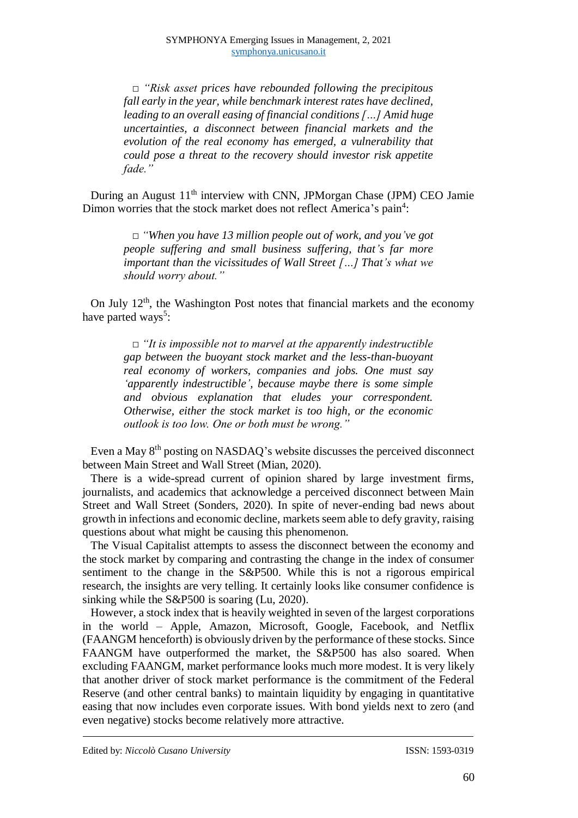*□ "Risk asset prices have rebounded following the precipitous fall early in the year, while benchmark interest rates have declined, leading to an overall easing of financial conditions […] Amid huge uncertainties, a disconnect between financial markets and the evolution of the real economy has emerged, a vulnerability that could pose a threat to the recovery should investor risk appetite fade."*

During an August 11<sup>th</sup> interview with CNN, JPMorgan Chase (JPM) CEO Jamie Dimon worries that the stock market does not reflect America's pain<sup>4</sup>:

> *□ "When you have 13 million people out of work, and you've got people suffering and small business suffering, that's far more important than the vicissitudes of Wall Street […] That's what we should worry about."*

On July 12<sup>th</sup>, the Washington Post notes that financial markets and the economy have parted ways<sup>5</sup>:

> *□ "It is impossible not to marvel at the apparently indestructible gap between the buoyant stock market and the less-than-buoyant real economy of workers, companies and jobs. One must say 'apparently indestructible', because maybe there is some simple and obvious explanation that eludes your correspondent. Otherwise, either the stock market is too high, or the economic outlook is too low. One or both must be wrong."*

Even a May 8th posting on NASDAQ's website discusses the perceived disconnect between Main Street and Wall Street (Mian, 2020).

There is a wide-spread current of opinion shared by large investment firms, journalists, and academics that acknowledge a perceived disconnect between Main Street and Wall Street (Sonders, 2020). In spite of never-ending bad news about growth in infections and economic decline, markets seem able to defy gravity, raising questions about what might be causing this phenomenon.

The Visual Capitalist attempts to assess the disconnect between the economy and the stock market by comparing and contrasting the change in the index of consumer sentiment to the change in the S&P500. While this is not a rigorous empirical research, the insights are very telling. It certainly looks like consumer confidence is sinking while the S&P500 is soaring (Lu, 2020).

However, a stock index that is heavily weighted in seven of the largest corporations in the world – Apple, Amazon, Microsoft, Google, Facebook, and Netflix (FAANGM henceforth) is obviously driven by the performance of these stocks. Since FAANGM have outperformed the market, the S&P500 has also soared. When excluding FAANGM, market performance looks much more modest. It is very likely that another driver of stock market performance is the commitment of the Federal Reserve (and other central banks) to maintain liquidity by engaging in quantitative easing that now includes even corporate issues. With bond yields next to zero (and even negative) stocks become relatively more attractive.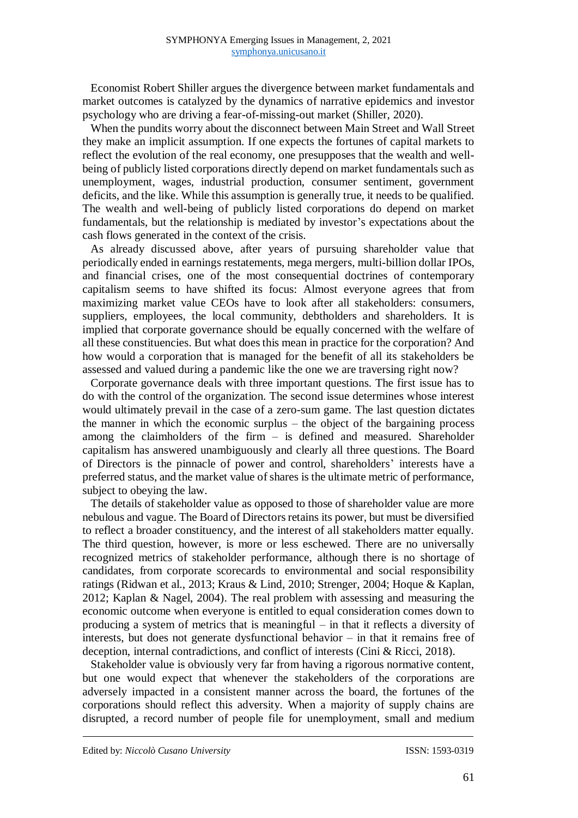Economist Robert Shiller argues the divergence between market fundamentals and market outcomes is catalyzed by the dynamics of narrative epidemics and investor psychology who are driving a fear-of-missing-out market (Shiller, 2020).

When the pundits worry about the disconnect between Main Street and Wall Street they make an implicit assumption. If one expects the fortunes of capital markets to reflect the evolution of the real economy, one presupposes that the wealth and wellbeing of publicly listed corporations directly depend on market fundamentals such as unemployment, wages, industrial production, consumer sentiment, government deficits, and the like. While this assumption is generally true, it needs to be qualified. The wealth and well-being of publicly listed corporations do depend on market fundamentals, but the relationship is mediated by investor's expectations about the cash flows generated in the context of the crisis.

As already discussed above, after years of pursuing shareholder value that periodically ended in earnings restatements, mega mergers, multi-billion dollar IPOs, and financial crises, one of the most consequential doctrines of contemporary capitalism seems to have shifted its focus: Almost everyone agrees that from maximizing market value CEOs have to look after all stakeholders: consumers, suppliers, employees, the local community, debtholders and shareholders. It is implied that corporate governance should be equally concerned with the welfare of all these constituencies. But what does this mean in practice for the corporation? And how would a corporation that is managed for the benefit of all its stakeholders be assessed and valued during a pandemic like the one we are traversing right now?

Corporate governance deals with three important questions. The first issue has to do with the control of the organization. The second issue determines whose interest would ultimately prevail in the case of a zero-sum game. The last question dictates the manner in which the economic surplus – the object of the bargaining process among the claimholders of the firm  $-$  is defined and measured. Shareholder capitalism has answered unambiguously and clearly all three questions. The Board of Directors is the pinnacle of power and control, shareholders' interests have a preferred status, and the market value of shares is the ultimate metric of performance, subject to obeying the law.

The details of stakeholder value as opposed to those of shareholder value are more nebulous and vague. The Board of Directors retains its power, but must be diversified to reflect a broader constituency, and the interest of all stakeholders matter equally. The third question, however, is more or less eschewed. There are no universally recognized metrics of stakeholder performance, although there is no shortage of candidates, from corporate scorecards to environmental and social responsibility ratings (Ridwan et al., 2013; Kraus & Lind, 2010; Strenger, 2004; Hoque & Kaplan, 2012; Kaplan & Nagel, 2004). The real problem with assessing and measuring the economic outcome when everyone is entitled to equal consideration comes down to producing a system of metrics that is meaningful – in that it reflects a diversity of interests, but does not generate dysfunctional behavior – in that it remains free of deception, internal contradictions, and conflict of interests (Cini & Ricci, 2018).

Stakeholder value is obviously very far from having a rigorous normative content, but one would expect that whenever the stakeholders of the corporations are adversely impacted in a consistent manner across the board, the fortunes of the corporations should reflect this adversity. When a majority of supply chains are disrupted, a record number of people file for unemployment, small and medium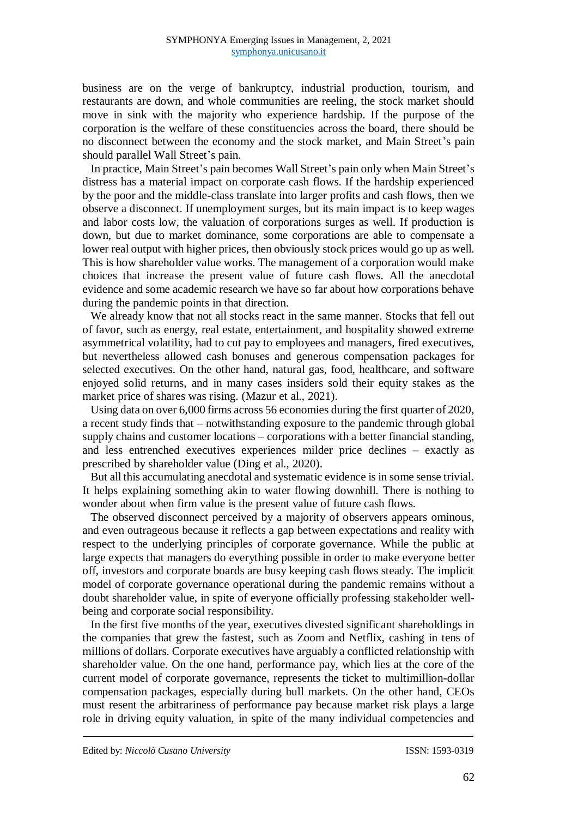business are on the verge of bankruptcy, industrial production, tourism, and restaurants are down, and whole communities are reeling, the stock market should move in sink with the majority who experience hardship. If the purpose of the corporation is the welfare of these constituencies across the board, there should be no disconnect between the economy and the stock market, and Main Street's pain should parallel Wall Street's pain.

In practice, Main Street's pain becomes Wall Street's pain only when Main Street's distress has a material impact on corporate cash flows. If the hardship experienced by the poor and the middle-class translate into larger profits and cash flows, then we observe a disconnect. If unemployment surges, but its main impact is to keep wages and labor costs low, the valuation of corporations surges as well. If production is down, but due to market dominance, some corporations are able to compensate a lower real output with higher prices, then obviously stock prices would go up as well. This is how shareholder value works. The management of a corporation would make choices that increase the present value of future cash flows. All the anecdotal evidence and some academic research we have so far about how corporations behave during the pandemic points in that direction.

We already know that not all stocks react in the same manner. Stocks that fell out of favor, such as energy, real estate, entertainment, and hospitality showed extreme asymmetrical volatility, had to cut pay to employees and managers, fired executives, but nevertheless allowed cash bonuses and generous compensation packages for selected executives. On the other hand, natural gas, food, healthcare, and software enjoyed solid returns, and in many cases insiders sold their equity stakes as the market price of shares was rising. (Mazur et al., 2021).

Using data on over 6,000 firms across 56 economies during the first quarter of 2020, a recent study finds that – notwithstanding exposure to the pandemic through global supply chains and customer locations – corporations with a better financial standing, and less entrenched executives experiences milder price declines – exactly as prescribed by shareholder value (Ding et al., 2020).

But all this accumulating anecdotal and systematic evidence is in some sense trivial. It helps explaining something akin to water flowing downhill. There is nothing to wonder about when firm value is the present value of future cash flows.

The observed disconnect perceived by a majority of observers appears ominous, and even outrageous because it reflects a gap between expectations and reality with respect to the underlying principles of corporate governance. While the public at large expects that managers do everything possible in order to make everyone better off, investors and corporate boards are busy keeping cash flows steady. The implicit model of corporate governance operational during the pandemic remains without a doubt shareholder value, in spite of everyone officially professing stakeholder wellbeing and corporate social responsibility.

In the first five months of the year, executives divested significant shareholdings in the companies that grew the fastest, such as Zoom and Netflix, cashing in tens of millions of dollars. Corporate executives have arguably a conflicted relationship with shareholder value. On the one hand, performance pay, which lies at the core of the current model of corporate governance, represents the ticket to multimillion-dollar compensation packages, especially during bull markets. On the other hand, CEOs must resent the arbitrariness of performance pay because market risk plays a large role in driving equity valuation, in spite of the many individual competencies and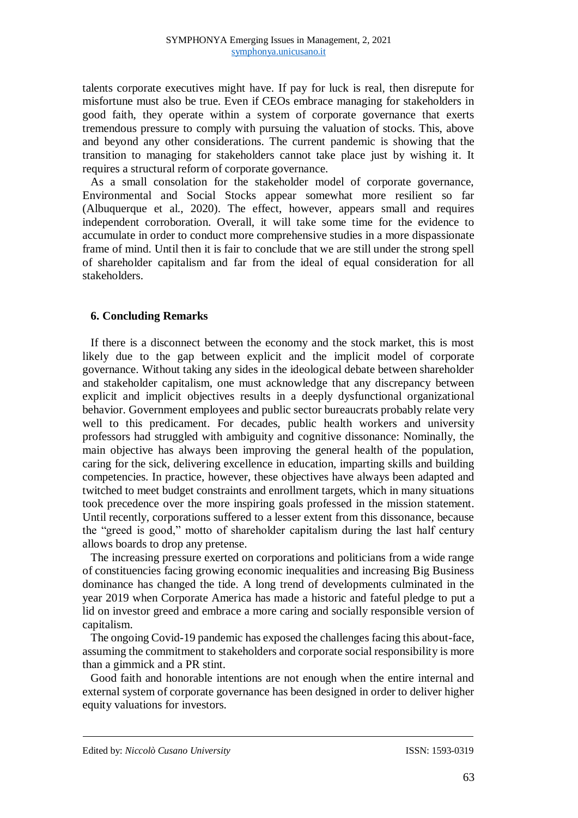talents corporate executives might have. If pay for luck is real, then disrepute for misfortune must also be true. Even if CEOs embrace managing for stakeholders in good faith, they operate within a system of corporate governance that exerts tremendous pressure to comply with pursuing the valuation of stocks. This, above and beyond any other considerations. The current pandemic is showing that the transition to managing for stakeholders cannot take place just by wishing it. It requires a structural reform of corporate governance.

As a small consolation for the stakeholder model of corporate governance, Environmental and Social Stocks appear somewhat more resilient so far (Albuquerque et al., 2020). The effect, however, appears small and requires independent corroboration. Overall, it will take some time for the evidence to accumulate in order to conduct more comprehensive studies in a more dispassionate frame of mind. Until then it is fair to conclude that we are still under the strong spell of shareholder capitalism and far from the ideal of equal consideration for all stakeholders.

## **6. Concluding Remarks**

If there is a disconnect between the economy and the stock market, this is most likely due to the gap between explicit and the implicit model of corporate governance. Without taking any sides in the ideological debate between shareholder and stakeholder capitalism, one must acknowledge that any discrepancy between explicit and implicit objectives results in a deeply dysfunctional organizational behavior. Government employees and public sector bureaucrats probably relate very well to this predicament. For decades, public health workers and university professors had struggled with ambiguity and cognitive dissonance: Nominally, the main objective has always been improving the general health of the population, caring for the sick, delivering excellence in education, imparting skills and building competencies. In practice, however, these objectives have always been adapted and twitched to meet budget constraints and enrollment targets, which in many situations took precedence over the more inspiring goals professed in the mission statement. Until recently, corporations suffered to a lesser extent from this dissonance, because the "greed is good," motto of shareholder capitalism during the last half century allows boards to drop any pretense.

The increasing pressure exerted on corporations and politicians from a wide range of constituencies facing growing economic inequalities and increasing Big Business dominance has changed the tide. A long trend of developments culminated in the year 2019 when Corporate America has made a historic and fateful pledge to put a lid on investor greed and embrace a more caring and socially responsible version of capitalism.

The ongoing Covid-19 pandemic has exposed the challenges facing this about-face, assuming the commitment to stakeholders and corporate social responsibility is more than a gimmick and a PR stint.

Good faith and honorable intentions are not enough when the entire internal and external system of corporate governance has been designed in order to deliver higher equity valuations for investors.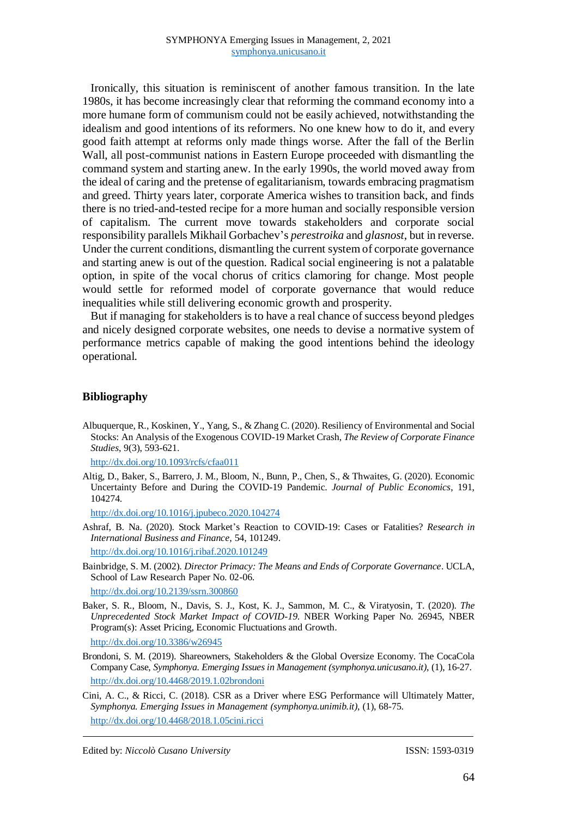Ironically, this situation is reminiscent of another famous transition. In the late 1980s, it has become increasingly clear that reforming the command economy into a more humane form of communism could not be easily achieved, notwithstanding the idealism and good intentions of its reformers. No one knew how to do it, and every good faith attempt at reforms only made things worse. After the fall of the Berlin Wall, all post-communist nations in Eastern Europe proceeded with dismantling the command system and starting anew. In the early 1990s, the world moved away from the ideal of caring and the pretense of egalitarianism, towards embracing pragmatism and greed. Thirty years later, corporate America wishes to transition back, and finds there is no tried-and-tested recipe for a more human and socially responsible version of capitalism. The current move towards stakeholders and corporate social responsibility parallels Mikhail Gorbachev's *perestroika* and *glasnost*, but in reverse. Under the current conditions, dismantling the current system of corporate governance and starting anew is out of the question. Radical social engineering is not a palatable option, in spite of the vocal chorus of critics clamoring for change. Most people would settle for reformed model of corporate governance that would reduce inequalities while still delivering economic growth and prosperity.

But if managing for stakeholders is to have a real chance of success beyond pledges and nicely designed corporate websites, one needs to devise a normative system of performance metrics capable of making the good intentions behind the ideology operational.

#### **Bibliography**

Albuquerque, R., Koskinen, Y., Yang, S., & Zhang C. (2020). Resiliency of Environmental and Social Stocks: An Analysis of the Exogenous COVID-19 Market Crash, *The Review of Corporate Finance Studies*, 9(3), 593-621.

[http://dx.doi.org/10.1093/rcfs/cfaa011](https://doi.org/10.1093/rcfs/cfaa011)

Altig, D., Baker, S., Barrero, J. M., Bloom, N., Bunn, P., Chen, S., & Thwaites, G. (2020). Economic Uncertainty Before and During the COVID-19 Pandemic. *Journal of Public Economics*, 191, 104274.

http://dx.doi.org/10.1016/j.jpubeco.2020.104274

Ashraf, B. Na. (2020). Stock Market's Reaction to COVID-19: Cases or Fatalities? *Research in International Business and Finance*, 54, 101249.

http://dx.doi.org/10.1016/j.ribaf.2020.101249

Bainbridge, S. M. (2002). *Director Primacy: The Means and Ends of Corporate Governance*. UCLA, School of Law Research Paper No. 02-06.

<http://dx.doi.org/10.2139/ssrn.300860>

Baker, S. R., Bloom, N., Davis, S. J., Kost, K. J., Sammon, M. C., & Viratyosin, T. (2020). *The Unprecedented Stock Market Impact of COVID-19*. NBER Working Paper No. 26945, NBER Program(s): Asset Pricing, Economic Fluctuations and Growth.

http://dx.doi.org/10.3386/w26945

- Brondoni, S. M. (2019). Shareowners, Stakeholders & the Global Oversize Economy. The CocaCola Company Case, *Symphonya. Emerging Issues in Management (symphonya.unicusano.it)*, (1), 16-27. <http://dx.doi.org/10.4468/2019.1.02brondoni>
- Cini, A. C., & Ricci, C. (2018). CSR as a Driver where ESG Performance will Ultimately Matter, *Symphonya. Emerging Issues in Management (symphonya.unimib.it)*, (1), 68-75. <http://dx.doi.org/10.4468/2018.1.05cini.ricci>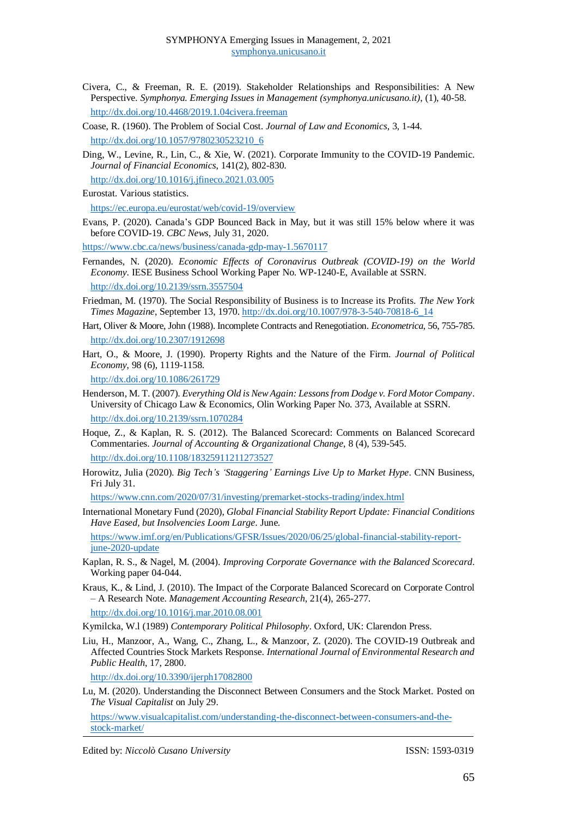- Civera, C., & Freeman, R. E. (2019). Stakeholder Relationships and Responsibilities: A New Perspective. *Symphonya. Emerging Issues in Management (symphonya.unicusano.it)*, (1), 40-58. <http://dx.doi.org/10.4468/2019.1.04civera.freeman>
- Coase, R. (1960). The Problem of Social Cost. *Journal of Law and Economics*, 3, 1-44. [http://dx.doi.org/10.1057/9780230523210\\_6](https://dx.doi.org/10.1057/9780230523210_6)
- Ding, W., Levine, R., Lin, C., & Xie, W. (2021). Corporate Immunity to the COVID-19 Pandemic. *Journal of Financial Economics*, 141(2), 802-830. [http://dx.doi.org/10.1016/j.jfineco.2021.03.005](https://dx.doi.org/10.1016/j.jfineco.2021.03.005)
- Eurostat. Various statistics.

<https://ec.europa.eu/eurostat/web/covid-19/overview>

Evans, P. (2020). Canada's GDP Bounced Back in May, but it was still 15% below where it was before COVID-19. *CBC News*, July 31, 2020.

<https://www.cbc.ca/news/business/canada-gdp-may-1.5670117>

- Fernandes, N. (2020). *Economic Effects of Coronavirus Outbreak (COVID-19) on the World Economy*. IESE Business School Working Paper No. WP-1240-E, Available at SSRN. <http://dx.doi.org/10.2139/ssrn.3557504>
- Friedman, M. (1970). The Social Responsibility of Business is to Increase its Profits. *The New York Times Magazine*, September 13, 1970. http://dx.doi.org/10.1007/978-3-540-70818-6\_14
- Hart, Oliver & Moore, John (1988). Incomplete Contracts and Renegotiation. *Econometrica*, 56, 755-785. [http://dx.doi.org/10.2307/1912698](https://dx.doi.org/10.2307/1912698)
- Hart, O., & Moore, J. (1990). Property Rights and the Nature of the Firm. *Journal of Political Economy*, 98 (6), 1119-1158.

[http://dx.doi.org/10.1086/261729](https://doi.org/10.1086/261729)

- Henderson, M. T. (2007). *Everything Old is New Again: Lessons from Dodge v. Ford Motor Company*. University of Chicago Law & Economics, Olin Working Paper No. 373, Available at SSRN. <http://dx.doi.org/10.2139/ssrn.1070284>
- Hoque, Z., & Kaplan, R. S. (2012). The Balanced Scorecard: Comments on Balanced Scorecard Commentaries. *Journal of Accounting & Organizational Change*, 8 (4), 539-545. http://dx.doi.org/10.1108/18325911211273527
- Horowitz, Julia (2020). *Big Tech's 'Staggering' Earnings Live Up to Market Hype*. CNN Business, Fri July 31.

<https://www.cnn.com/2020/07/31/investing/premarket-stocks-trading/index.html>

International Monetary Fund (2020), *Global Financial Stability Report Update: Financial Conditions Have Eased, but Insolvencies Loom Large*. June.

[https://www.imf.org/en/Publications/GFSR/Issues/2020/06/25/global-financial-stability-report](https://www.imf.org/en/Publications/GFSR/Issues/2020/06/25/global-financial-stability-report-june-2020-update)[june-2020-update](https://www.imf.org/en/Publications/GFSR/Issues/2020/06/25/global-financial-stability-report-june-2020-update)

- Kaplan, R. S., & Nagel, M. (2004). *Improving Corporate Governance with the Balanced Scorecard*. Working paper 04-044.
- Kraus, K., & Lind, J. (2010). The Impact of the Corporate Balanced Scorecard on Corporate Control – A Research Note. *Management Accounting Research*, 21(4), 265-277. [http://dx.doi.org/10.1016/j.mar.2010.08.001](https://dx.doi.org/10.1016/j.mar.2010.08.001)

Kymilcka, W.l (1989) *Contemporary Political Philosophy*. Oxford, UK: Clarendon Press.

Liu, H., Manzoor, A., Wang, C., Zhang, L., & Manzoor, Z. (2020). The COVID-19 Outbreak and Affected Countries Stock Markets Response. *International Journal of Environmental Research and Public Health*, 17, 2800.

[http://dx.doi.org/10.3390/ijerph17082800](https://dx.doi.org/10.3390/ijerph17082800)

Lu, M. (2020). Understanding the Disconnect Between Consumers and the Stock Market. Posted on *The Visual Capitalist* on July 29.

https://www.visualcapitalist.com/understanding-the-disconnect-between-consumers-and-thestock-market/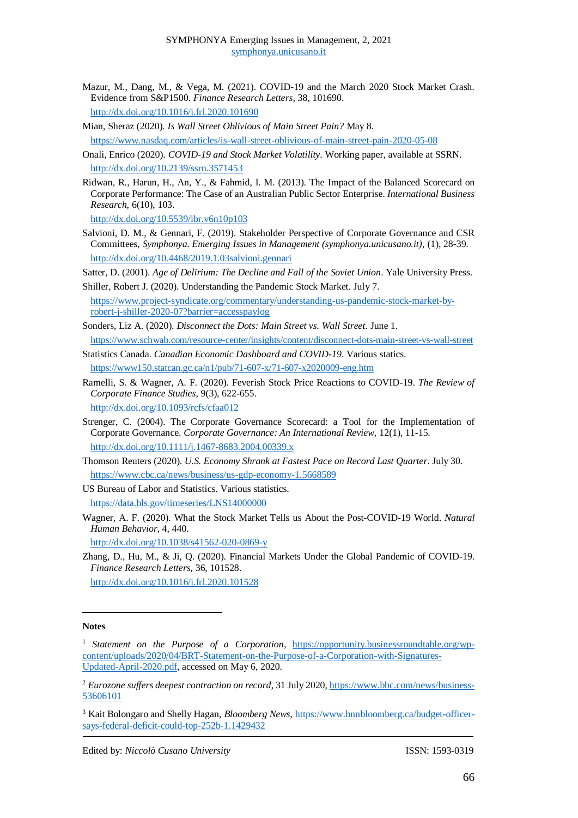- Mazur, M., Dang, M., & Vega, M. (2021). COVID-19 and the March 2020 Stock Market Crash. Evidence from S&P1500. *Finance Research Letters*, 38, 101690. [http://dx.doi.org/10.1016/j.frl.2020.101690](https://dx.doi.org/10.1016/j.frl.2020.101690)
- 

Mian, Sheraz (2020). *Is Wall Street Oblivious of Main Street Pain?* May 8. <https://www.nasdaq.com/articles/is-wall-street-oblivious-of-main-street-pain-2020-05-08>

- Onali, Enrico (2020). *COVID-19 and Stock Market Volatility*. Working paper, available at SSRN. <http://dx.doi.org/10.2139/ssrn.3571453>
- Ridwan, R., Harun, H., An, Y., & Fahmid, I. M. (2013). The Impact of the Balanced Scorecard on Corporate Performance: The Case of an Australian Public Sector Enterprise. *International Business Research*, 6(10), 103.

http://dx.doi.org/10.5539/ibr.v6n10p103

Salvioni, D. M., & Gennari, F. (2019). Stakeholder Perspective of Corporate Governance and CSR Committees, *Symphonya. Emerging Issues in Management (symphonya.unicusano.it)*, (1), 28-39. <http://dx.doi.org/10.4468/2019.1.03salvioni.gennari>

Satter, D. (2001). *Age of Delirium: The Decline and Fall of the Soviet Union*. Yale University Press.

Shiller, Robert J. (2020). Understanding the Pandemic Stock Market. July 7. [https://www.project-syndicate.org/commentary/understanding-us-pandemic-stock-market-by](https://www.project-syndicate.org/commentary/understanding-us-pandemic-stock-market-by-robert-j-shiller-2020-07?barrier=accesspaylog)[robert-j-shiller-2020-07?barrier=accesspaylog](https://www.project-syndicate.org/commentary/understanding-us-pandemic-stock-market-by-robert-j-shiller-2020-07?barrier=accesspaylog)

Sonders, Liz A. (2020). *Disconnect the Dots: Main Street vs. Wall Street*. June 1.

<https://www.schwab.com/resource-center/insights/content/disconnect-dots-main-street-vs-wall-street> Statistics Canada. *Canadian Economic Dashboard and COVID-19*. Various statics.

<https://www150.statcan.gc.ca/n1/pub/71-607-x/71-607-x2020009-eng.htm>

Ramelli, S. & Wagner, A. F. (2020). Feverish Stock Price Reactions to COVID-19. *The Review of Corporate Finance Studies*, 9(3), 622-655.

[http://dx.doi.org/10.1093/rcfs/cfaa012](https://doi.org/10.1093/rcfs/cfaa012)

- Strenger, C. (2004). The Corporate Governance Scorecard: a Tool for the Implementation of Corporate Governance. *Corporate Governance: An International Review*, 12(1), 11-15. [http://dx.doi.org/10.1111/j.1467-8683.2004.00339.x](https://dx.doi.org/10.1111/j.1467-8683.2004.00339.x)
- Thomson Reuters (2020). *U.S. Economy Shrank at Fastest Pace on Record Last Quarter*. July 30. <https://www.cbc.ca/news/business/us-gdp-economy-1.5668589>

US Bureau of Labor and Statistics. Various statistics. <https://data.bls.gov/timeseries/LNS14000000>

Wagner, A. F. (2020). What the Stock Market Tells us About the Post-COVID-19 World. *Natural Human Behavior*, 4, 440.

<http://dx.doi.org/10.1038/s41562-020-0869-y>

Zhang, D., Hu, M., & Ji, Q. (2020). Financial Markets Under the Global Pandemic of COVID-19. *Finance Research Letters*, 36, 101528. [http://dx.doi.org/10.1016/j.frl.2020.101528](https://doi.org/10.1016/j.frl.2020.101528)

#### **Notes**

1

<sup>&</sup>lt;sup>1</sup> Statement on the Purpose of a Corporation, [https://opportunity.businessroundtable.org/wp](https://opportunity.businessroundtable.org/wp-content/uploads/2020/04/BRT-Statement-on-the-Purpose-of-a-Corporation-with-Signatures-Updated-April-2020.pdf)[content/uploads/2020/04/BRT-Statement-on-the-Purpose-of-a-Corporation-with-Signatures-](https://opportunity.businessroundtable.org/wp-content/uploads/2020/04/BRT-Statement-on-the-Purpose-of-a-Corporation-with-Signatures-Updated-April-2020.pdf)[Updated-April-2020.pdf,](https://opportunity.businessroundtable.org/wp-content/uploads/2020/04/BRT-Statement-on-the-Purpose-of-a-Corporation-with-Signatures-Updated-April-2020.pdf) accessed on May 6, 2020.

<sup>2</sup> *Eurozone suffers deepest contraction on record*, 31 July 2020[, https://www.bbc.com/news/business-](https://www.bbc.com/news/business-53606101)[53606101](https://www.bbc.com/news/business-53606101)

<sup>3</sup> Kait Bolongaro and Shelly Hagan, *Bloomberg News*, [https://www.bnnbloomberg.ca/budget-officer](https://www.bnnbloomberg.ca/budget-officer-says-federal-deficit-could-top-252b-1.1429432)[says-federal-deficit-could-top-252b-1.1429432](https://www.bnnbloomberg.ca/budget-officer-says-federal-deficit-could-top-252b-1.1429432)